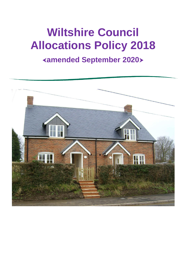# **Wiltshire Council Allocations Policy 2018**

# **amended September 2020**

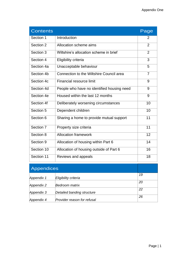| <b>Contents</b> |                                            | Page           |
|-----------------|--------------------------------------------|----------------|
| Section 1       | Introduction                               | 2              |
| Section 2       | Allocation scheme aims                     | $\overline{2}$ |
| Section 3       | Wiltshire's allocation scheme in brief     | $\overline{2}$ |
| Section 4       | Eligibility criteria                       | $\overline{3}$ |
| Section 4a      | Unacceptable behaviour                     | 5              |
| Section 4b      | Connection to the Wiltshire Council area   | $\overline{7}$ |
| Section 4c      | Financial resource limit                   | 9              |
| Section 4d      | People who have no identified housing need | 9              |
| Section 4e      | Housed within the last 12 months           | 9              |
| Section 4f      | Deliberately worsening circumstances       | 10             |
| Section 5       | Dependent children                         | 10             |
| Section 6       | Sharing a home to provide mutual support   | 11             |
| Section 7       | Property size criteria                     | 11             |
| Section 8       | <b>Allocation framework</b>                | 12             |
| Section 9       | Allocation of housing within Part 6        | 14             |
| Section 10      | Allocation of housing outside of Part 6    | 16             |
| Section 11      | Reviews and appeals                        | 18             |

| Appendices |                             |    |
|------------|-----------------------------|----|
| Appendix 1 | Eligibility criteria        | 19 |
| Appendix 2 | Bedroom matrix              | 20 |
| Appendix 3 | Detailed banding structure  | 22 |
| Appendix 4 | Provider reason for refusal | 26 |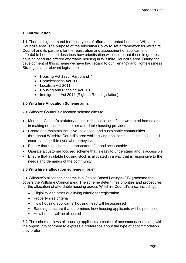# **1.0 Introduction**

**1.1** There is high demand for most types of affordable rented homes in Wiltshire Council's area. The purpose of the Allocation Policy to set a framework for Wiltshire Council and its partners for the registration and assessment of applicants for affordable homes and describes how prioritisation will ensure that those in greatest housing need are offered affordable housing in Wiltshire Council's area. During the development of this scheme we have had regard to our Tenancy and Homelessness Strategies and relevant legislation -

- Housing Act 1996, Part 6 and 7
- Homelessness Act 2002
- Localism Act 2011
- Housing and Planning Act 2016
- Immigration Act 2014 (Right to Rent legislation)

# **2.0 Wiltshire Allocation Scheme aims**

**2.1** Wiltshire Council's allocation scheme aims to:

- Meet the Council's statutory duties in the allocation of its own rented homes and in making nominations to other affordable housing providers
- Create and maintain inclusive, balanced, and sustainable communities throughout Wiltshire Council's area whilst giving applicants as much choice and control as possible over where they live.
- Ensure that the scheme is transparent, fair and accountable
- Operate a customer focused scheme that is easy to understand and is accessible
- Ensure that available housing stock is allocated in a way that is responsive to the needs and demands of the community

# **3.0 Wiltshire's allocation scheme in brief**

**3.1** Wiltshire's allocation scheme is a Choice Based Lettings (CBL) scheme that covers the Wiltshire Council area. The scheme determines priorities and procedures for the allocation of affordable housing across Wiltshire Council's area, including:

- Eligibility and other qualifying criteria for registration
- Property size criteria
- How housing applicants' housing need will be assessed
- Banding structure that determines how housing applicants will be prioritised
- How homes will be allocated

**3.2** The scheme allows all housing applicants a choice of accommodation along with the opportunity for them to express a preference about the type of accommodation they prefer.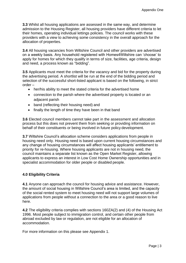**3.3** Whilst all housing applications are assessed in the same way, and determine admission to the Housing Register, all housing providers have different criteria to let their homes, operating individual lettings policies. The council works with these providers with a view to achieving some consistency in the overall approach for the allocation of properties.

**3.4** All housing vacancies from Wiltshire Council and other providers are advertised on a weekly basis. Any household registered with Homes4Wiltshire can 'choose' to apply for homes for which they qualify in terms of size, facilities, age criteria, design and need, a process known as "bidding".

**3.5** Applicants must meet the criteria for the vacancy and bid for the property during the advertising period. A shortlist will be run at the end of the bidding period and selection of the successful short-listed applicant is based on the following, in strict order –

- her/his ability to meet the stated criteria for the advertised home
- connection to the parish where the advertised property is located or an adjacent parish
- band (reflecting their housing need) and
- finally the length of time they have been in that band

**3.6** Elected council members cannot take part in the assessment and allocation process but this does not prevent them from seeking or providing information on behalf of their constituents or being involved in future policy development.

**3.7** Wiltshire Council's allocation scheme considers applications from people in housing need only. Housing need is based upon current housing circumstances and any change of housing circumstances will affect housing applicants' entitlement to priority for re-housing. Where housing applicants are not in housing need, the council maintains a separate list known as the Open Market Register, allowing applicants to express an interest in Low Cost Home Ownership opportunities and in specialist accommodation for older people or disabled people.

# **4.0 Eligibility Criteria**

**4.1** Anyone can approach the council for housing advice and assistance. However, the amount of social housing in Wiltshire Council's area is limited, and the capacity of the social rented system to meet housing need will not support large volumes of applications from people without a connection to the area or a good reason to live here.

**4.2** The eligibility criteria complies with sections 160ZA(2) and (4) of the Housing Act 1996. Most people subject to immigration control, and certain other people from abroad excluded by law or regulation, are not eligible for an allocation of accommodation.

For more information on this please see Appendix 1.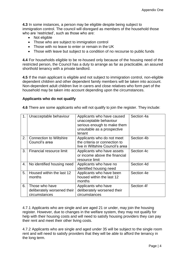**4.3** In some instances, a person may be eligible despite being subject to immigration control. The council will disregard as members of the household those who are 'restricted', such as those who are:

- Not eligible
- Those who are subject to immigration control
- Those with no leave to enter or remain in the UK
- Those with leave but subject to a condition of no recourse to public funds

**4.4** For households eligible to be re-housed only because of the housing need of the restricted person, the Council has a duty to arrange as far as practicable, an assured shorthold tenancy with a private landlord.

**4.5** If the main applicant is eligible and not subject to immigration control, non-eligible dependent children and other dependent family members will be taken into account. Non-dependent adult children live in carers and close relatives who form part of the household may be taken into account depending upon the circumstances.

## **Applicants who do not qualify**

**4.6** There are some applicants who will not qualify to join the register. They include:

| 1. | Unacceptable behaviour                                         | Applicants who have caused<br>unacceptable behaviour<br>serious enough to make them<br>unsuitable as a prospective<br>tenant | Section 4a |
|----|----------------------------------------------------------------|------------------------------------------------------------------------------------------------------------------------------|------------|
| 2. | <b>Connection to Wiltshire</b><br>Council's area               | Applicants who do not meet<br>the criteria or connection to<br>live in Wiltshire Council's area                              | Section 4b |
| 3. | Financial resource limit                                       | Applicants who have assets<br>or income above the financial<br>resource limit                                                | Section 4c |
| 4. | No identified housing need                                     | Applicants who have no<br>identified housing need                                                                            | Section 4d |
| 5. | Housed within the last 12<br>months                            | Applicants who have been<br>housed within the last 12<br>months                                                              | Section 4e |
| 6. | Those who have<br>deliberately worsened their<br>circumstances | Applicants who have<br>deliberately worsened their<br>circumstances                                                          | Section 4f |

4.7.1 Applicants who are single and are aged 21 or under, may join the housing register. However, due to changes in the welfare system, they may not qualify for help with their housing costs and will need to satisfy housing providers they can pay their rent and meet their other living costs.

4.7.2 Applicants who are single and aged under 35 will be subject to the single room rent and will need to satisfy providers that they will be able to afford the tenancy in the long term.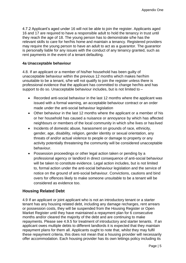4.7.2 Applicant's aged under 16 will not be able to join the register. Applicants aged 16 and 17 are required to have a responsible adult to hold the tenancy in trust until they reach the age of 18. The young person has to demonstrate s/he has the relevant skills to care for her/his home and maintain a tenancy. Registered providers may require the young person to have an adult to act as a guarantor. The guarantor is personally liable for any issues with the conduct of any tenancy granted, such as rent payments in the event of a tenant defaulting.

## **4a Unacceptable behaviour**

4.8. If an applicant or a member of his/her household has been guilty of unacceptable behaviour within the previous 12 months which makes her/him unsuitable to be a tenant, s/he will not qualify to join the register unless there is professional evidence that the applicant has committed to change her/his and has support to do so. Unacceptable behaviour includes, but is not limited to –

- Recorded anti-social behaviour in the last 12 months where the applicant was issued with a formal warning, an acceptable behaviour contract or an order made under the anti-social behaviour legislation
- Other behaviour in the last 12 months where the applicant or a member of his or her household has caused a nuisance or annoyance by which has affected neighbours or members of the local community in which s/he lives or has lived
- Incidents of domestic abuse, harassment on grounds of race, ethnicity, gender, age, disability, religion, gender identity or sexual orientation, any threats of and/or actual violence to people or damage to property or any activity potentially threatening the community will be considered unacceptable behaviour.
- Possession proceedings or other legal action taken or pending by a professional agency or landlord in direct consequence of anti-social behaviour will be taken to constitute evidence. Legal action includes, but is not limited to, formal action under the anti-social behaviour legislation and the service of notice on the ground of anti-social behaviour. Convictions, cautions and bind overs for offences likely to make someone unsuitable to be a tenant will be considered as evidence too.

# **Housing Related Debt**

4.9 If an applicant or joint applicant who is not an introductory tenant or a starter tenant has any housing related debt, including any damage recharges, rent arrears or possession costs, they will be suspended from the Housing Register or Open Market Register until they have maintained a repayment plan for 6 consecutive months and/or cleared the majority of the debt and are continuing to make repayments. Please see 4.9.5 for treatment of introductory and starter tenants. If an applicant owes multiple debts to different landlords it is expected that they maintain repayment plans for them all. Applicants ought to note that, whilst they may fulfil these repayment criteria, this does not mean that a housing provider will necessarily offer accommodation. Each housing provider has its own lettings policy including its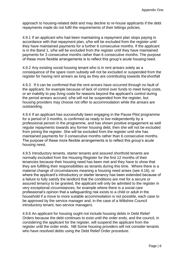approach to housing-related debt and may decline to re-house applicants if the debt repayments made do not fulfil the requirements of their lettings policies.

4.9.1 If an applicant who had been maintaining a repayment plan stops paying in accordance with that repayment plan, s/he will be excluded from the register until they have maintained payments for a further 6 consecutive months. If the applicant is in the Band 1, s/he will be excluded from the register until they have maintained payments for 3 consecutive months rather than 6 consecutive months. The purpose of these more flexible arrangements is to reflect this group's acute housing need.

4.9.2 Any existing social housing tenant who is in rent arrears solely as a consequence of the spare room subsidy will not be excluded or suspended from the register for having rent arrears as long as they are contributing towards theshortfall

4.9.3 If it can be confirmed that the rent arrears have occurred through no fault of the applicant, for example because of lack of control over funds to meet living costs, or an inability to pay living costs for reasons beyond the applicant's control during the period arrears accrued, s/he will not be suspended from the register, but housing providers may choose not offer to accommodation while the arrears are outstanding.

4.9.4 If an applicant has successfully been engaging in the Pause Pilot programme for a period of 3 months, is confirmed as ready to live independently by a professional person in the programme, and has shown positive engagement as well regular repayments towards any former housing debt, then she will not be excluded from joining the register. She will be excluded from the register until she has maintained payments for 3 consecutive months rather than 6 consecutive months. The purpose of these more flexible arrangements is to reflect this group's acute housing need.

4.9.5 Introductory tenants, starter tenants and assured shorthold tenants are normally excluded from the Housing Register for the first 12 months of their tenancies because their housing need has been met and they have to show that they are fulfilling their responsibilities as tenants during this time. Where there is a material change of circumstances meaning a housing need arises (see 4.16), or where the applicant's introductory or starter tenancy has been extended because of a failure to fully satisfy the landlord that the conditions are met for a secure or assured tenancy to be granted, the applicant will only be admitted to the register in very exceptional circumstances, for example where there is a social care professional's opinion that a safeguarding risk exists to a child or adult in the household if a move to more suitable accommodation is not possible, each case to be approved by the service manager and, in the case of a Wiltshire Council introductory tenant, two service managers.

4.9.6 An applicant for housing ought not include housing debts in Debt Relief Orders because the debt continues to exist until the order ends, and the council, in considering the applicant for the register, will suspend the applicant from the register until the order ends. NB Some housing providers will not consider tenants who have resolved debts using the Debt Relief Order procedure.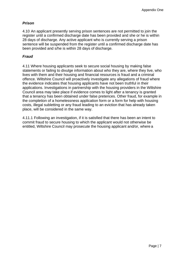# *Prison*

4.10 An applicant presently serving prison sentences are not permitted to join the register until a confirmed discharge date has been provided and she or he is within 28 days of discharge. Any active applicant who is currently serving a prison sentence will be suspended from the register until a confirmed discharge date has been provided and s/he is within 28 days of discharge.

# *Fraud*

4.11 Where housing applicants seek to secure social housing by making false statements or failing to divulge information about who they are, where they live, who lives with them and their housing and financial resources is fraud and a criminal offence. Wiltshire Council will proactively investigate any allegations of fraud where the evidence indicates that housing applicants have not been truthful in their applications. Investigations in partnership with the housing providers in the Wiltshire Council area may take place if evidence comes to light after a tenancy is granted that a tenancy has been obtained under false pretences. Other fraud, for example in the completion of a homelessness application form or a form for help with housing costs, illegal subletting or any fraud leading to an eviction that has already taken place, will be considered in the same way.

4.11.1 Following an investigation, if it is satisfied that there has been an intent to commit fraud to secure housing to which the applicant would not otherwise be entitled, Wiltshire Council may prosecute the housing applicant and/or, where a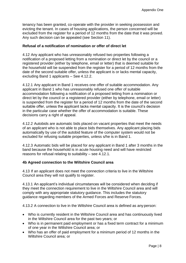tenancy has been granted, co-operate with the provider in seeking possession and evicting the tenant. In cases of housing applications, the person concerned will be excluded from the register for a period of 12 months from the date that it was proved. Any such decision can be appealed (see Section 11).

# **Refusal of a notification of nomination or offer of direct let**

4.12 Any applicant who has unreasonably refused two properties following a notification of a proposed letting from a nomination or direct let by the council or a registered provider (either by telephone, email or letter) that is deemed suitable for the household will be suspended from the register for a period of 12 months from the date of the second suitable offer, unless the applicant is or lacks mental capacity, excluding Band 1 applicants – See 4.12.2.

4.12.1 Any applicant in Band 1 receives one offer of suitable accommodation. Any applicant in Band 1 who has unreasonably refused one offer of suitable accommodation following a notification of a proposed letting from a nomination or direct let by the council or a registered provider (either by telephone, email or letter) is suspended from the register for a period of 12 months from the date of the second suitable offer, unless the applicant lacks mental capacity. It is the council's decision in the particular case whether the offer of accommodation is suitable. These decisions carry a right of appeal.

4.12.2 Autobids are automatic bids placed on vacant properties that meet the needs of an applicant who is not able to place bids themselves. Any applicant placing bids automatically by use of the autobid feature of the computer system would not be excluded for refusing suitable properties, unless s/he is in Band 1.

4.12.3 Automatic bids will be placed for any applicant in Band 1 after 3 months in the band because the household is in acute housing need and will have restricted reasons for refusal relating to suitability – see 4.12.1.

#### **4b Agreed connection to the Wiltshire Council area**

4.13 If an applicant does not meet the connection criteria to live in the Wiltshire Council area they will not qualify to register.

4.13.1 An applicant's individual circumstances will be considered when deciding if they meet the connection requirement to live in the Wiltshire Council area and will comply with any appropriate statutory guidance. This includes the statutory guidance regarding members of the Armed Forces and Reserve Forces.

4.13.2 A connection to live in the Wiltshire Council area is defined as any person:

- Who is currently resident in the Wiltshire Council area and has continuously lived in the Wiltshire Council area for the past two years; or
- Who is in permanent paid employment or has a fixed term contract for a minimum of one year in the Wiltshire Council area; or
- Who has an offer of paid employment for a minimum period of 12 months in the Wiltshire Council area; or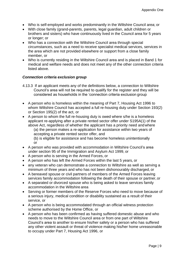- Who is self-employed and works predominantly in the Wiltshire Council area; or
- With close family (grand-parents, parents, legal guardian, adult children or brothers and sisters) who have continuously lived in the Council area for 5 years or longer; or
- Who has a connection with the Wiltshire Council area through special circumstances, such as a need to receive specialist medical services, services in the area which are not provided elsewhere or support from a close family member, or
- Who is currently residing in the Wiltshire Council area and is placed in Band 1 for medical and welfare needs and does not meet any of the other connection criteria listed above.

#### *Connection criteria exclusion group*

- 4.13.3 If an applicant meets any of the definitions below, a connection to Wiltshire Council's area will not be required to qualify for the register and they will be considered as households in the 'connection criteria exclusion group
- A person who is homeless within the meaning of Part 7, Housing Act 1996 to whom Wiltshire Council has accepted a full re-housing duty under Section 193(2) or Section 195(2) of the act, or
- A person to whom the full re-housing duty is owed where s/he is a homeless applicant re-applying after a private rented sector offer under S195A(1) of the above Act, regardless of whether the applicant has a priority need andwhere

(a) the person makes a re-application for assistance within two years of accepting a private rented sector offer, and

(b) is eligible for assistance and has become homeless unintentionally or

- A person who was provided with accommodation in Wiltshire Council's area under section 95 of the Immigration and Asylum Act 1999, or
- A person who is serving in the Armed Forces, or
- A person who has left the Armed Forces within the last 5 years, or
- any veteran who can demonstrate a connection to Wiltshire as well as serving a minimum of three years and who has not been dishonourably discharged, or
- A bereaved spouse or civil partners of members of the Armed Forces leaving services family accommodation following the death of their spouse or partner, or
- A separated or divorced spouse who is being asked to leave services family accommodation in the Wiltshire area
- Serving or former members of the Reserve Forces who need to move because of a serious injury, medical condition or disability sustained as a result of their service, or
- A person who is being accommodated through an official witness protection scheme authorised by the Home Office, or
- A person who has been confirmed as having suffered domestic abuse and who needs to move to the Wiltshire Council area or from one part of Wiltshire Council's area to another to ensure his/her safety or a person who has suffered any other violent assault or threat of violence making his/her home unreasonable to occupy under Part 7, Housing Act 1996, or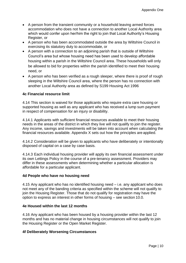- A person from the transient community or a household leaving armed forces accommodation who does not have a connection to another Local Authority area which would confer upon her/him the right to join that Local Authority's Housing Register, or
- A person who has been accommodated outside the area by Wiltshire Council in exercising its statutory duty to accommodate, or
- A person with a connection to an adjoining parish that is outside of Wiltshire Council's area but whose housing need has been used to develop affordable housing within a parish in the Wiltshire Council area. These households will only be allowed to bid for properties within the parish identified to meet their housing need, or
- A person who has been verified as a rough sleeper, where there is proof of rough sleeping in the Wiltshire Council area, where the person has no connection with another Local Authority area as defined by S199 Housing Act 1996

# **4c Financial resource limit**

4.14 This section is waived for those applicants who require extra care housing or supported housing as well as any applicant who has received a lump sum payment in respect of compensation for an injury or disability.

4.14.1 Applicants with sufficient financial resources available to meet their housing needs in the areas of the district in which they live will not qualify to join the register. Any income, savings and investments will be taken into account when calculating the financial resources available. Appendix X sets out how the principles are applied.

4.14.2 Consideration will be given to applicants who have deliberately or intentionally disposed of capital on a case by case basis.

4.14.3 Each individual housing provider will apply its own financial assessment under its own Lettings Policy in the course of a pre-tenancy assessment. Providers may differ in these assessments when determining whether a particular allocation is affordable for a particular applicant.

#### **4d People who have no housing need**

4.15 Any applicant who has no identified housing need – i.e. any applicant who does not meet any of the banding criteria as specified within the scheme will not qualify to join the Housing Register. Those that do not qualify for registration may have the option to express an interest in other forms of housing – see section 10.0.

#### **4e Housed within the last 12 months**

4.16 Any applicant who has been housed by a housing provider within the last 12 months and has no material change in housing circumstances will not qualify to join the Housing Register or the Open Market Register.

#### **4f Deliberately Worsening Circumstances**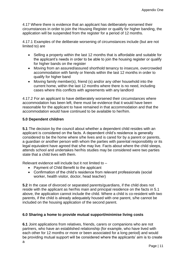4.17 Where there is evidence that an applicant has deliberately worsened their circumstances in order to join the Housing Register or qualify for higher banding, the application will be suspended from the register for a period of 12 months.

4.17.1 Examples of the deliberate worsening of circumstances include (but are not limited to) are

- Selling a property within the last 12 months that is affordable and suitable for the applicant's needs in order to be able to join the housing register or qualify for higher bands on the register
- Moving from an assured/assured shorthold tenancy to insecure, overcrowded accommodation with family or friends within the last 12 months in order to qualify for higher band
- Moving family member(s), friend (s) and/or any other household into the current home, within the last 12 months where there is no need, including cases where this conflicts with agreements with any landlord

4.17.2 For an applicant to have deliberately worsened their circumstances where accommodation has been left, there must be evidence that it would have been reasonable for the applicant to have remained in that accommodation and that the accommodation would have continued to be available to her/him.

# **5.0 Dependent children**

**5.1** The decision by the council about whether a dependent child resides with an applicant is considered on the facts. A dependent child's residence is generally considered to be the home where s/he lives and is cared for by a parent or parents, a guardian or another person with whom the parties with parental responsibility or its legal equivalent have agreed that s/he may live. Facts about where the child sleeps, attends school and undertakes her/his studies may be considered were two parties state that a child lives with them.

Relevant evidence will include but it not limited to –

- Payment of Child Benefit to the applicant
- Confirmation of the child's residence from relevant professionals (social worker, health visitor, doctor, head teacher)

**5.2** In the case of divorced or separated parents/guardians, if the child does not reside with the applicant as her/his main and principal residence on the facts in 5.1 above, the application cannot include the child. Where a child is co-resident with two parents, if the child is already adequately housed with one parent, s/he cannot be included on the housing application of the second parent.

# **6.0 Sharing a home to provide mutual support/minimise living costs**

**6.1** Joint applications from relatives, friends, carers or companions who are not partners, who have an established relationship (for example, who have lived with each other for 12 months or more or been associated for a long period) and would be providing mutual support will be considered where the applicants' aim is to create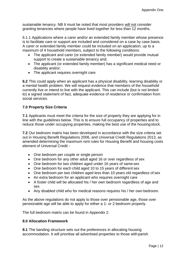sustainable tenancy. NB It must be noted that most providers will not consider granting tenancies where people have lived together for less than 12 months.

6.1.1 Applications where a carer and/or an extended family member whose presence is to facilitate care or support are included and considered on a case by case basis. A carer or extended family member could be included on an application, up to a maximum of 4 household members, subject to the following conditions:

- The applicant and carer (or extended family member) would provide mutual support to create a sustainable tenancy and;
- The applicant (or extended family member) has a significant medical need or disability and/or;
- The applicant requires overnight care

**6.2** This could apply when an applicant has a physical disability, learning disability or a mental health problem. We will request evidence that members of the household currently live or intend to live with the applicant. This can include (but is not limited to) a signed statement of fact, adequate evidence of residence or confirmation from social services.

# **7.0 Property Size Criteria**

**7.1** Applicants must meet the criteria for the size of property they are applying for in line with the guidelines below. This is to ensure full occupancy of properties and to reduce those under occupying properties, making the best use of the housingstock.

**7.2** Our bedroom matrix has been developed in accordance with the size criteria set out in Housing Benefit Regulations 2006, and Universal Credit Regulations 2013, as amended determining the maximum rent rules for Housing Benefit and housing costs element of Universal Credit -

- One bedroom per couple or single person
- One bedroom for any other adult aged 16 or over regardless of sex
- One bedroom for two children aged under 16 years of same sex
- One bedroom for each child aged 10 to 15 years of different sex
- One bedroom per two children aged less than 10 years old regardless of sex
- An extra bedroom for an applicant who requires overnight care
- A foster child will be allocated his / her own bedroom regardless of age and sex
- Any disabled child who for medical reasons requires his / her own bedroom.

As the above regulations do not apply to those over pensionable age, those over pensionable age will be able to apply for either a 1- or 2-bedroom property.

The full bedroom matrix can be found in Appendix 2.

# **8.0 Allocation Framework**

**8.1** The banding structure sets out the preferences in allocating housing accommodation. It will prioritise all advertised properties to those with parish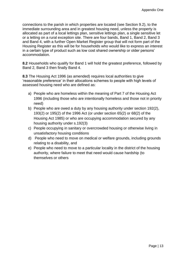connections to the parish in which properties are located (see Section 9.2), to the immediate surrounding area and in greatest housing need, unless the property is allocated as part of a local lettings plan, sensitive lettings plan, a single sensitive let or a letting on a rural exception site. There are four bands, Band 1, Band 2, Band 3 and Band 4, with a further Open Market Register group that will not form part of the Housing Register as this will be for households who would like to express an interest in a certain type of product such as low cost shared ownership or older persons' accommodation.

**8.2** Households who qualify for Band 1 will hold the greatest preference, followed by Band 2, Band 3 then finally Band 4.

**8.3** The Housing Act 1996 (as amended) requires local authorities to give 'reasonable preference' in their allocations schemes to people with high levels of assessed housing need who are defined as:

- a) People who are homeless within the meaning of Part 7 of the Housing Act 1996 (including those who are intentionally homeless and those not in priority need)
- b) People who are owed a duty by any housing authority under section 192(2), 193(2) or 195(2) of the 1996 Act (or under section 65(2) or 68(2) of the Housing Act 1985) or who are occupying accommodation secured by any housing authority under s.192(3)
- c) People occupying in sanitary or overcrowded housing or otherwise living in unsatisfactory housing conditions
- d) People who need to move on medical or welfare grounds, including grounds relating to a disability, and
- e) People who need to move to a particular locality in the district of the housing authority, where failure to meet that need would cause hardship (to themselves or others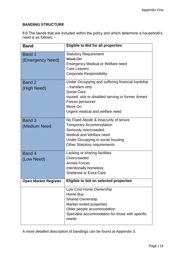# **BANDING STRUCTURE**

8.6 The bands that are included within the policy and which determine a household's need is as follows: -

| <b>Band</b>                       | <b>Eligible to Bid for all properties</b>                                                                                                                                                                         |
|-----------------------------------|-------------------------------------------------------------------------------------------------------------------------------------------------------------------------------------------------------------------|
| <b>Band 1</b><br>(Emergency Need) | <b>Statutory Requirement</b><br>Move On<br><b>Emergency Medical or Welfare need</b><br><b>Care Leavers</b><br><b>Corporate Responsibility</b>                                                                     |
| Band 2<br>(High Need)             | Under Occupying and suffering financial hardship<br>- transfers only<br><b>Social Care</b><br>Injured, sick or disabled serving or former Armed<br>Forces personnel<br>Move On<br>Urgent medical and welfare need |
| Band 3<br>(Medium Need            | No Fixed Abode & Insecurity of tenure<br><b>Temporary Accommodation</b><br>Seriously overcrowded<br>Medical and Welfare need<br>Under Occupying in social housing<br><b>Other Statutory requirements</b>          |
| Band 4<br>(Low Need)              | Lacking or sharing facilities<br>Overcrowded<br><b>Armed Forces</b><br>Intentionally homeless<br><b>Sheltered or Extra Care</b>                                                                                   |
| <b>Open Market Register</b>       | Eligible to bid on selected properties                                                                                                                                                                            |
|                                   | Low Cost Home Ownership<br>Home Buy<br>Shared Ownership<br>Market rented properties<br>Older people accommodation<br>Specialist accommodation for those with specific<br>needs                                    |

A more detailed description of bandings can be found at Appendix 3.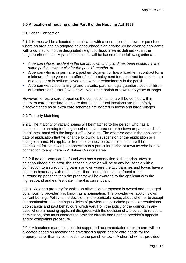# **9.0 Allocation of housing under Part 6 of the Housing Act 1996**

#### **9.1** Parish Connection

9.1.1 Homes will be allocated to applicants with a connection to a town or parish or where an area has an adopted neighbourhood plan priority will be given to applicants with a connection to the designated neighbourhood area as defined within the neighbourhood plan. A parish connection will be based on the following criteria: -

- *A person who is resident in the parish, town or city and has been resident in the same parish, town or city for the past 12 months, or*
- A person who is in permanent paid employment or has a fixed term contract for a minimum of one year or an offer of paid employment for a contract for a minimum of one year or is self-employed and works predominantly in the parish
- A person with close family (grand-parents, parents, legal guardian, adult children or brothers and sisters) who have lived in the parish or town for 5 years orlonger.

However, for extra care properties the connection criteria will be defined within the extra care procedure to ensure that those in rural locations are not unfairly disadvantaged as all extra care schemes are located in towns and large villages.

#### **9.2** Property Matching

9.2.1 The majority of vacant homes will be matched to the person who has a connection to an adopted neighbourhood plan area or to the town or parish and is in the highest band with the longest effective date. The effective date is the applicant's date of application that will change following a suspension of the application or a change in band. No applicant from the connection exclusion criteria will be overlooked for not having a connection to a particular parish or town as s/he has no connection to anywhere in Wiltshire Council's area.

9.2.2 If no applicant can be found who has a connection to the parish, town or neighbourhood plan area, the second allocation will be to any household with a connection to a surrounding parish or town where the two parishes and towns have a common boundary with each other. If no connection can be found to the surrounding parishes then the property will be awarded to the applicant with the highest band and earliest date in her/his current band.

9.2.3 Where a property for which an allocation is proposed is owned and managed by a housing provider, it is known as a nomination. The provider will apply its own current Lettings Policy to the decision, in the particular case, about whether to accept the nomination. The Lettings Policies of providers may include particular restrictions upon capital and past behaviours which vary from the policy of the council. In any case where a housing applicant disagrees with the decision of a provider to refuse a nomination, s/he must contact the provider directly and use the provider's appeals and/or complaints procedure.

9.2.4 Allocations made to specialist supported accommodation or extra care will be allocated based on meeting the advertised support and/or care needs for the property rather than by connection to the parish or town. A shortlist will beprovided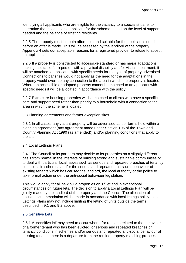identifying all applicants who are eligible for the vacancy to a specialist panel to determine the most suitable applicant for the scheme based on the level of support needed and the balance of existing residents.

9.2.5 The property must be both affordable and suitable for the applicant's needs before an offer is made. This will be assessed by the landlord of the property. Appendix 4 sets out acceptable reasons for a registered provider to refuse to accept an applicant.

9.2.6 If a property is constructed to accessible standard or has major adaptations making it suitable for a person with a physical disability and/or visual impairment, it will be matched to applicants with specific needs for the type of property advertised. Connections to parishes would not apply as the need for the adaptations in the property would override any connection to the area in which the property is located. Where an accessible or adapted property cannot be matched to an applicant with specific needs it will be allocated in accordance with the policy.

9.2.7 Extra care housing properties will be matched to clients who have a specific care and support need rather than priority to a household with a connection to the area in which the scheme is located.

9.3 Planning agreements and former exception sites

9.3.1 In all cases, any vacant property will be advertised as per terms held within a planning agreement (any agreement made under Section 106 of the Town and Country Planning Act 1990 (as amended)) and/or planning conditions that apply to the site.

#### 9.4 Local Lettings Plans

9.4.1The Council or its partners may decide to let properties on a slightly different basis from normal in the interests of building strong and sustainable communities or to deal with particular local issues such as serious and repeated breaches of tenancy conditions in schemes and/or the serious and repeated anti-social behaviour of existing tenants which has caused the landlord, the local authority or the police to take formal action under the anti-social behaviour legislation.

This would apply for all new build properties on 1<sup>st</sup> let and in exceptional circumstances on future lets. The decision to apply a Local Lettings Plan will be jointly made by the landlord of the property and the Council. The allocation of housing accommodation will be made in accordance with local lettings policy. Local Lettings Plans may not include limiting the letting of units outside the terms described in 9.1 and 9.2 above.

#### 9.5 Sensitive Lets

9.5.1 A 'sensitive let' may need to occur where, for reasons related to the behaviour of a former tenant who has been evicted, or serious and repeated breaches of tenancy conditions in schemes and/or serious and repeated anti-social behaviour of existing tenants, there is a departure from the routine property matching process.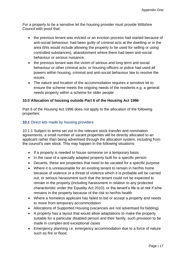For a property to be a sensitive let the housing provider must provide Wiltshire Council with proof that:

- the previous tenant was evicted or an eviction process had started because of anti-social behaviour, had been guilty of criminal acts at the dwelling or in the area (this would include allowing the property to be used for selling or using controlled substances), abandonment where there had been anti-social behaviour or serious nuisance;
- the previous tenant was the victim of serious and long-term anti-social behaviour or other criminal acts; or housing officers or police had used all powers within housing, criminal and anti-social behaviour law to resolve the issues.
- The nature and location of the accommodation requires a sensitive let to ensure the scheme meets the ongoing needs of the residents e.g. a general needs property within a scheme for older people

# **10.0 Allocation of housing outside Part 6 of the Housing Act 1996**

Part 6 of the Housing Act 1996 does not apply to the allocation of the following properties:

# **10.1** Direct lets made by housing providers

10.1.1 Subject to terms set out in the relevant stock transfer and nomination agreements, a small number of vacant properties will be directly allocated to an applicant rather than being advertised through the allocation system, including from the council's own stock. This may happen in the following situations:

- If a property is needed to house someone on a temporary basis
- In the case of a specially adapted property built for a specific person
- Decants, these are properties that need to be vacated for a specific purpose
- Where it is unreasonable for an existing tenant to remain in her/his home because of violence or a threat of violence which it is probable will be carried out, or serious harassment such that the tenant could not be expected to remain in the property (including harassment in relation to any protected characteristic under the Equality Act 2010), or the tenant's life is at risk if s/he remains in the property because of the risk to her/his health
- Where a homeless applicant has failed to bid or accept a property and needs to move from temporary accommodation
- Allocations of Supported Housing (vacancies are not advertised for bidding)
- A property has a layout that would allow adaptations to make the property suitable for a particular disabled person and their family, such provision to be made in complex and exceptional cases
- Emergency planning i.e. emergency accommodation due to a force of nature such as fire or flood.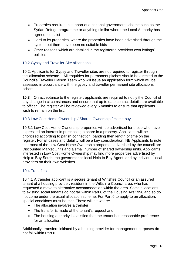- Properties required in support of a national government scheme such as the Syrian Refuge programme or anything similar where the Local Authority has agreed to assist
- Hard to let properties, where the properties have been advertised through the system but there have been no suitable bids
- Other reasons which are detailed in the registered providers own lettings' policies

# **10.2** Gypsy and Traveller Site allocations

10.2. Applicants for Gypsy and Traveller sites are not required to register through this allocation scheme. All enquiries for permanent pitches should be directed to the Council's Traveller Liaison Team who will issue an application form which will be assessed in accordance with the gypsy and traveller permanent site allocations scheme.

**10.3** On acceptance to the register, applicants are required to notify the Council of any change in circumstances and ensure that up to date contact details are available to officer. The register will be reviewed every 6 months to ensure that applicants wish to remain on the list.

# 10.3 Low Cost Home Ownership / Shared Ownership / Home buy

10.3.1 Low Cost Home Ownership properties will be advertised for those who have expressed an interest in purchasing a share in a property. Applicants will be prioritised according to parish connection, banding then length of time on the register. For all cases affordability will be a key consideration. NB Applicants to note that most of the Low Cost Home Ownership properties advertised by the council are Discounted Market Units and a small number of shared ownership units. Applicants interested in Low Cost Home Ownership may find more properties advertised by Help to Buy South, the government's local Help to Buy Agent, and by individual local providers on their own websites.

# 10.4 Transfers

10.4.1 A transfer applicant is a secure tenant of Wiltshire Council or an assured tenant of a housing provider, resident in the Wiltshire Council area, who has requested a move to alternative accommodation within the area. Some allocations to existing social tenants do not fall within Part 6 of the Housing Act 1996 and so do not come under the usual allocation scheme. For Part 6 to apply to an allocation, special conditions must be met. These will be where:

- The allocation involves a transfer
- The transfer is made at the tenant's request and
- The housing authority is satisfied that the tenant has reasonable preference for an allocation

Additionally, transfers initiated by a housing provider for management purposes do not fall within Part 6.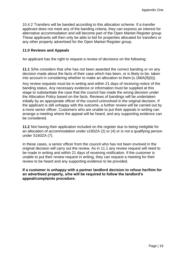10.4.2 Transfers will be banded according to this allocation scheme. If a transfer applicant does not meet any of the banding criteria, they can express an interest for alternative accommodation and will become part of the Open Market Register group. These applicants will then only be able to bid for properties allocated for transfers or any other property advertised for the Open Market Register group.

## **11.0 Reviews and Appeals**

An applicant has the right to request a review of decisions on the following:

**11.1** S/he considers that s/he has not been awarded the correct banding or on any decision made about the facts of their case which has been, or is likely to be, taken into account in considering whether to make an allocation to them (s.166A(9)(b)).

Any review requests must be in writing and within 21 days of receiving notice of the banding status. Any necessary evidence or information must be supplied at this stage to substantiate the case that the council has made the wrong decision under the Allocation Policy based on the facts. Reviews of bandings will be undertaken initially by an appropriate officer of the council uninvolved in the original decision. If the applicant is still unhappy with the outcome, a further review will be carried out by a more senior officer. Customers who are unable to put their appeals in writing can arrange a meeting where the appeal will be heard, and any supporting evidence can be considered.

**11.2** Not having their application included on the register due to being ineligible for an allocation of accommodation under s160ZA (2) or (4) or is not a qualifying person under S160ZA (7).

In these cases, a senior officer from the council who has not been involved in the original decision will carry out the review. As in 11.1 any review request will need to be made in writing and within 21 days of receiving notification. If the customer is unable to put their review request in writing, they can request a meeting for their review to be heard and any supporting evidence to be provided.

**If a customer is unhappy with a partner landlord decision to refuse her/him for an advertised property, s/he will be required to follow the landlord's appeal/complaints procedure.**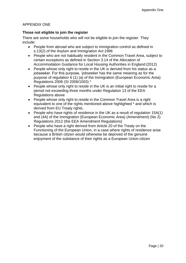# APPENDIX ONE

# **Those not eligible to join the register**

There are some households who will not be eligible to join the register. They include:

- People from abroad who are subiect to immigration control as defined in s.13(2) of the Asylum and Immigration Act 1996
- People who are not habitually resident in the Common Travel Area, subject to certain exceptions as defined in Section 3.14 of the Allocation of Accommodation Guidance for Local Housing Authorities in England (2012)
- People whose only right to reside in the UK is derived from his status as a jobseeker. For this purpose, 'jobseeker has the same meaning as for the purpose of regulation 6 (1) (a) of the Immigration (European Economic Area) Regulations 2006 (SI 2006/1003) \*
- People whose only right to reside in the UK is an initial right to reside for a period not exceeding three months under Regulation 13 of the EEA Regulations above
- People whose only right to reside in the Common Travel Area is a right equivalent to one of the rights mentioned above highlighted \* and which is derived from EU Treaty rights.
- People who have rights of residence in the UK as a result of regulation 15A(1) and (4A) of the Immigration (European Economic Area) (Amendment) (No 2) Regulations 2012 (the EEA Amendment Regulations)
- People who have a right derived from Article 20 of the Treaty on the Functioning of the European Union, in a case where rights of residence arise because a British citizen would otherwise be deprived of the genuine enjoyment of the substance of their rights as a European Union citizen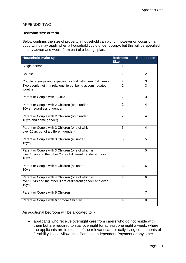# APPENDIX TWO

### **Bedroom size criteria**

Below confirms the size of property a household can bid for, however on occasion an opportunity may apply when a household could under occupy, but this will be specified on any advert and would form part of a lettings plan.

| Household make-up                                                                                                          | <b>Bedroom</b><br><b>Size</b> | <b>Bed spaces</b> |
|----------------------------------------------------------------------------------------------------------------------------|-------------------------------|-------------------|
| Single person                                                                                                              | 1                             | 1                 |
| Couple                                                                                                                     | 1                             | $\overline{2}$    |
| Couple or single and expecting a child within next 14 weeks                                                                | $\overline{2}$                | $\overline{3}$    |
| Two people not in a relationship but being accommodated<br>together                                                        | $\overline{2}$                | $\overline{3}$    |
| Parent or Couple with 1 Child                                                                                              | $\overline{2}$                | 3                 |
| Parent or Couple with 2 Children (both under<br>10yrs, regardless of gender)                                               | $\overline{2}$                | 4                 |
| Parent or Couple with 2 Children (both under<br>16yrs and same gender)                                                     | $\overline{2}$                | 4                 |
| Parent or Couple with 2 Children (one of which<br>over 10yrs but of a different gender)                                    | 3                             | 4                 |
| Parent or Couple with 3 Children (all under<br>16yrs)                                                                      | 3                             | 5                 |
| Parent or Couple with 3 Children (one of which is<br>over 16yrs and the other 2 are of different gender and over<br>10yrs) | 4                             | 5                 |
| Parent or Couple with 4 Children (all under<br>10yrs)                                                                      | 3                             | 6                 |
| Parent or Couple with 4 Children (one of which is<br>over 16yrs and the other 3 are of different gender and over<br>10yrs) | $\overline{4}$                | 6                 |
| Parent or Couple with 5 Children                                                                                           | $\overline{4}$                | $\overline{7}$    |
| Parent or Couple with 6 or more Children                                                                                   | 4                             | 8                 |

An additional bedroom will be allocated to: -

• applicants who receive overnight care from carers who do not reside with them but are required to stay overnight for at least one night a week, where the applicants are in receipt of the relevant care or daily living components of Disability Living Allowance, Personal Independent Payment or any other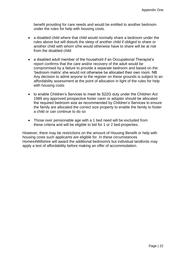benefit providing for care needs and would be entitled to another bedroom under the rules for help with housing costs.

- a disabled child where that child would normally share a bedroom under the rules above but will disturb the sleep of another child if obliged to share or another child with whom s/he would otherwise have to share will be at risk from the disabled child
- a disabled adult member of the household if an Occupational Therapist's report confirms that the care and/or recovery of the adult would be compromised by a failure to provide a separate bedroom and based on the 'bedroom matrix' she would not otherwise be allocated their own room. NB Any decision to admit anyone to the register on these grounds is subject to an affordability assessment at the point of allocation in light of the rules for help with housing costs
- to enable Children's Services to meet its S22G duty under the Children Act 1989 any approved prospective foster carer or adopter should be allocated the required bedroom size as recommended by Children's Services to ensure the family are allocated the correct size property to enable the family to foster a child or can continue to do so
- Those over pensionable age with a 1 bed need will be excluded from these criteria and will be eligible to bid for 1 or 2 bed properties.

However, there may be restrictions on the amount of Housing Benefit or help with housing costs such applicants are eligible for. In these circumstances Homes4Wiltshire will award the additional bedroom/s but individual landlords may apply a test of affordability before making an offer of accommodation.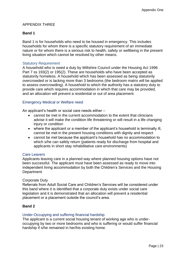# APPENDIX THREE

# **Band 1**

Band 1 is for households who need to be housed in emergency. This includes households for whom there is a specific statutory requirement of an immediate nature or for whom there is a serious risk to health, safety or wellbeing in the present living situation which cannot be resolved by other means.

#### Statutory Requirement

A household who is owed a duty by Wiltshire Council under the Housing Act 1996 Part 7 ss 193(2) or 195(2). These are households who have been accepted as statutorily homeless. A household which has been assessed as being statutorily overcrowded or is lacking more than 3 bedrooms (the bedroom matrix will be applied to assess overcrowding). A household to which the authority has a statutory duty to provide care which requires accommodation in which that care may be provided, and an allocation will prevent a residential or out of area placement.

#### Emergency Medical or Welfare need

An applicant's health or social care needs either –

- cannot be met in the current accommodation to the extent that clinicians advise it will make the condition life threatening or will result in a life changing injury or condition
- where the applicant or a member of the applicant's household is terminally ill, cannot be met in the present housing conditions with dignity and respect
- cannot be met because the applicant's household has no accommodation to which s/he can safely return (patients ready for discharge from hospital and applicants in short stay rehabilitative care environments)

#### Care Leavers

Applicants leaving care in a planned way where planned housing options have not been successful. The applicant must have been assessed as ready to move into independent living accommodation by both the Children's Services and the Housing **Department** 

#### Corporate Duty

Referrals from Adult Social Care and Children's Services will be considered under this band where it is identified that a corporate duty exists under social care legislation and it is demonstrated that an allocation will prevent a residential placement or a placement outside the council's area.

# **Band 2**

#### Under-Occupying and suffering financial hardship

The applicant is a current social housing tenant of working age who is underoccupying by two or more bedrooms and who is suffering or would suffer financial hardship if s/he remained in her/his existing home.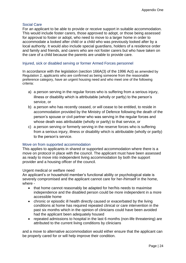#### Social Care

For an applicant to be able to provide or receive support in suitable accommodation. This would include foster carers, those approved to adopt, or those being assessed for approval to foster or adopt, who need to move to a larger home in order to accommodate a looked after child or a child who was previously looked after by a local authority. It would also include special guardians, holders of a residence order and family and friends, and carers who are not foster carers but who have taken on the care of a child because the parents are unable to provide care.

#### Injured, sick or disabled serving or former Armed Forces personnel

In accordance with the legislation (section 166A(3) of the 1996 Act) as amended by Regulation 2, applicants who are confirmed as being someone from the reasonable preference category, have an urgent housing need and who meet one of the following criteria:

- a) a person serving in the regular forces who is suffering from a serious injury, illness or disability which is attributable (wholly or partly) to the person's service, or
- b) a person who has recently ceased, or will cease to be entitled, to reside in accommodation provided by the Ministry of Defence following the death of the person's spouse or civil partner who was serving in the regular forces and whose death was attributable (wholly or partly) to that service, or
- c) a person serving or formerly serving in the reserve forces who is suffering from a serious injury, illness or disability which is attributable (wholly or partly) to the person's service.

#### Move on from supported accommodation

This applies to applicants in shared or supported accommodation where there is a move on protocol in place with the council. The applicant must have been assessed as ready to move into independent living accommodation by both the support provider and a housing officer of the council.

#### Urgent medical or welfare need

An applicant's or household member's functional ability or psychological state is severely compromised and the applicant cannot care for her-/himself in the home, where -

- that home cannot reasonably be adapted for her/his needs to maximise independence and the disabled person could be more independent in a more accessible home
- chronic or episodic ill health directly caused or exacerbated by the living conditions at home has required repeated clinical or care intervention in the past six months which in the opinion of clinicians could have been avoided had the applicant been adequately housed
- repeated admissions to hospital in the last 6 months (non-life threatening) are attributed to the current living conditions by clinicians

and a move to alternative accommodation would either ensure that the applicant can be properly cared for or will help improve their condition.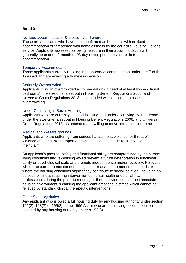# **Band 3**

#### No fixed accommodation & Insecurity of Tenure

These are applicants who have been confirmed as homeless with no fixed accommodation or threatened with homelessness by the council's Housing Options service. Applicants assessed as being insecure in their accommodation will generally be under a 2 month or 93-day notice period to vacate their accommodation.

#### Temporary Accommodation

Those applicants currently residing in temporary accommodation under part 7 of the 1996 Act and are awaiting a homeless decision

#### Seriously Overcrowded

Applicants living in overcrowded accommodation (in need of at least two additional bedrooms), the size criteria set out in Housing Benefit Regulations 2006, and Universal Credit Regulations 2013, as amended will be applied to assess overcrowding

#### Under Occupying in Social Housing

Applicants who are currently in social housing and under occupying by 1 bedroom under the size criteria set out in Housing Benefit Regulations 2006, and Universal Credit Regulations 2013, as amended and willing to move into a smaller home

#### Medical and Welfare grounds

Applicants who are suffering from serious harassment, violence, or threat of violence at their current property, providing evidence exists to substantiate their claim.

An applicant's physical safety and functional ability are compromised by the current living conditions and re-housing would prevent a future deterioration in functional ability or psychological state and promote independence and/or recovery. Relevant where the current home cannot be adjusted or adapted to meet these needs or where the housing conditions significantly contribute to social isolation (including an episode of illness requiring intervention of mental health or other clinical professionals during the past six months) or there is evidence that the immediate housing environment is causing the applicant emotional distress which cannot be relieved by standard clinical/therapeutic interventions.

#### Other Statutory duties

Any applicant who is owed a full housing duty by any housing authority under section 192(2), 193(2) or 195(2) of the 1996 Act or who are occupying accommodation secured by any housing authority under s.192(3)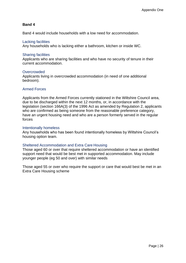# **Band 4**

Band 4 would include households with a low need for accommodation.

#### Lacking facilities

Any households who is lacking either a bathroom, kitchen or inside WC.

#### Sharing facilities

Applicants who are sharing facilities and who have no security of tenure in their current accommodation.

#### **Overcrowded**

Applicants living in overcrowded accommodation (in need of one additional bedroom).

#### Armed Forces

Applicants from the Armed Forces currently stationed in the Wiltshire Council area, due to be discharged within the next 12 months, or, in accordance with the legislation (section 166A(3) of the 1996 Act as amended by Regulation 2, applicants who are confirmed as being someone from the reasonable preference category, have an urgent housing need and who are a person formerly served in the regular forces

#### Intentionally homeless

Any households who has been found intentionally homeless by Wiltshire Council's housing option team.

# Sheltered Accommodation and Extra Care Housing

Those aged 60 or over that require sheltered accommodation or have an identified support need that would be best met in supported accommodation. May include younger people (eg 50 and over) with similar needs

Those aged 55 or over who require the support or care that would best be met in an Extra Care Housing scheme